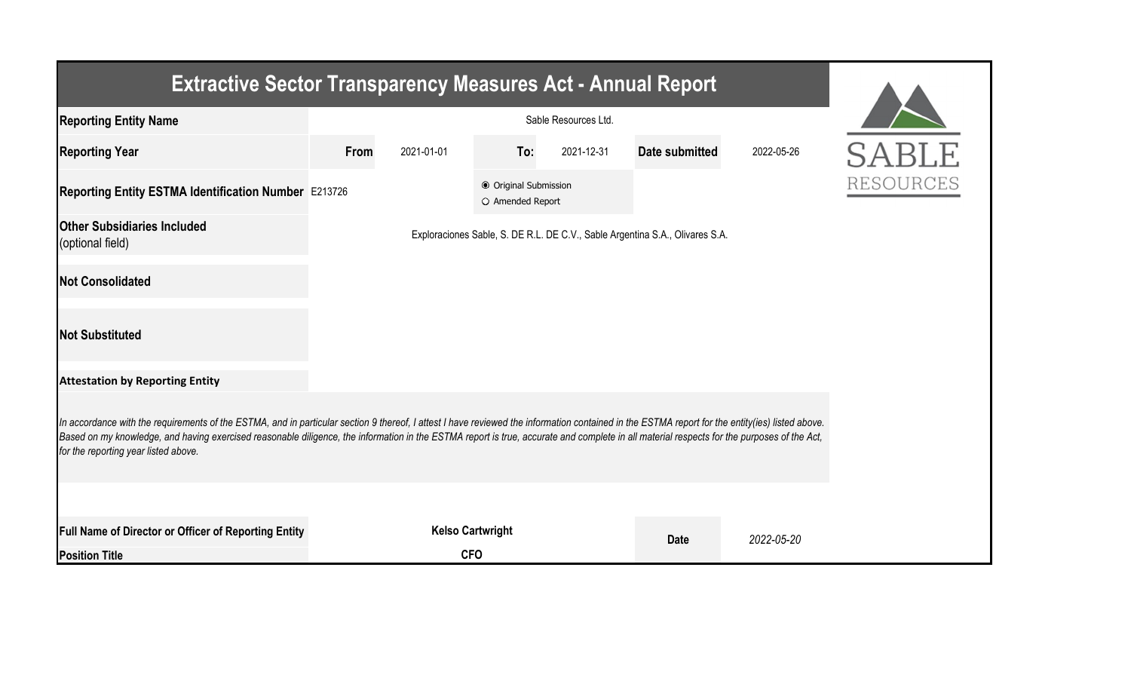| <b>Extractive Sector Transparency Measures Act - Annual Report</b>                                                                                                                                                                                                                                                                                                                                                                    |      |                         |                                           |            |                                                                              |            |              |  |  |  |
|---------------------------------------------------------------------------------------------------------------------------------------------------------------------------------------------------------------------------------------------------------------------------------------------------------------------------------------------------------------------------------------------------------------------------------------|------|-------------------------|-------------------------------------------|------------|------------------------------------------------------------------------------|------------|--------------|--|--|--|
| <b>Reporting Entity Name</b>                                                                                                                                                                                                                                                                                                                                                                                                          |      |                         |                                           |            |                                                                              |            |              |  |  |  |
| <b>Reporting Year</b>                                                                                                                                                                                                                                                                                                                                                                                                                 | From | 2021-01-01              | To:                                       | 2021-12-31 | <b>Date submitted</b>                                                        | 2022-05-26 | <b>SABLE</b> |  |  |  |
| Reporting Entity ESTMA Identification Number E213726                                                                                                                                                                                                                                                                                                                                                                                  |      |                         | ● Original Submission<br>O Amended Report |            |                                                                              |            | RESOURCES    |  |  |  |
| <b>Other Subsidiaries Included</b><br>(optional field)                                                                                                                                                                                                                                                                                                                                                                                |      |                         |                                           |            | Exploraciones Sable, S. DE R.L. DE C.V., Sable Argentina S.A., Olivares S.A. |            |              |  |  |  |
| <b>Not Consolidated</b>                                                                                                                                                                                                                                                                                                                                                                                                               |      |                         |                                           |            |                                                                              |            |              |  |  |  |
| <b>Not Substituted</b>                                                                                                                                                                                                                                                                                                                                                                                                                |      |                         |                                           |            |                                                                              |            |              |  |  |  |
| <b>Attestation by Reporting Entity</b>                                                                                                                                                                                                                                                                                                                                                                                                |      |                         |                                           |            |                                                                              |            |              |  |  |  |
| In accordance with the requirements of the ESTMA, and in particular section 9 thereof, I attest I have reviewed the information contained in the ESTMA report for the entity(ies) listed above.<br>Based on my knowledge, and having exercised reasonable diligence, the information in the ESTMA report is true, accurate and complete in all material respects for the purposes of the Act,<br>for the reporting year listed above. |      |                         |                                           |            |                                                                              |            |              |  |  |  |
|                                                                                                                                                                                                                                                                                                                                                                                                                                       |      |                         |                                           |            |                                                                              |            |              |  |  |  |
| Full Name of Director or Officer of Reporting Entity                                                                                                                                                                                                                                                                                                                                                                                  |      | <b>Kelso Cartwright</b> |                                           |            | <b>Date</b>                                                                  | 2022-05-20 |              |  |  |  |
| <b>Position Title</b>                                                                                                                                                                                                                                                                                                                                                                                                                 |      | <b>CFO</b>              |                                           |            |                                                                              |            |              |  |  |  |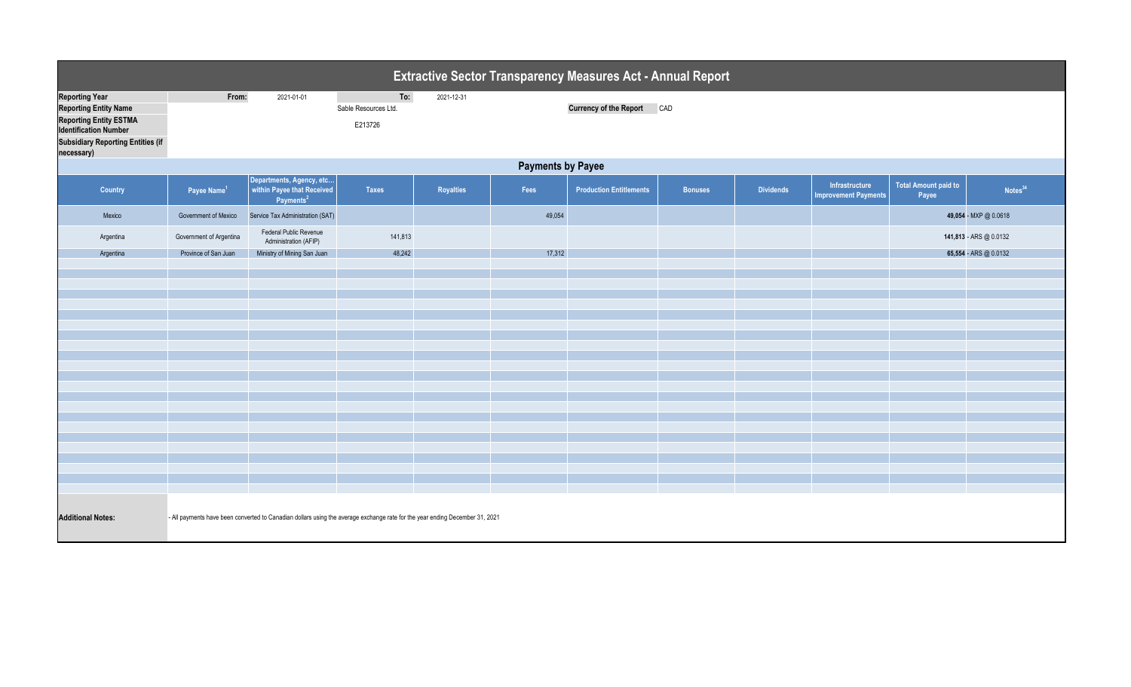|                                                                                                                                                                                  | <b>Extractive Sector Transparency Measures Act - Annual Report</b>                                                           |                                                                                 |                                        |            |        |                                   |                |                  |                                               |                                      |                        |  |
|----------------------------------------------------------------------------------------------------------------------------------------------------------------------------------|------------------------------------------------------------------------------------------------------------------------------|---------------------------------------------------------------------------------|----------------------------------------|------------|--------|-----------------------------------|----------------|------------------|-----------------------------------------------|--------------------------------------|------------------------|--|
| <b>Reporting Year</b><br><b>Reporting Entity Name</b><br><b>Reporting Entity ESTMA</b><br><b>Identification Number</b><br><b>Subsidiary Reporting Entities (if</b><br>necessary) | From:                                                                                                                        | 2021-01-01                                                                      | To:<br>Sable Resources Ltd.<br>E213726 | 2021-12-31 |        | <b>Currency of the Report CAD</b> |                |                  |                                               |                                      |                        |  |
|                                                                                                                                                                                  | <b>Payments by Payee</b>                                                                                                     |                                                                                 |                                        |            |        |                                   |                |                  |                                               |                                      |                        |  |
| Country                                                                                                                                                                          | Payee Name <sup>1</sup>                                                                                                      | Departments, Agency, etc<br>within Payee that Received<br>Payments <sup>2</sup> | <b>Taxes</b>                           | Royalties  | Fees   | <b>Production Entitlements</b>    | <b>Bonuses</b> | <b>Dividends</b> | Infrastructure<br><b>Improvement Payments</b> | <b>Total Amount paid to</b><br>Payee | Notes <sup>34</sup>    |  |
| Mexico                                                                                                                                                                           | Government of Mexico                                                                                                         | Service Tax Administration (SAT)                                                |                                        |            | 49,054 |                                   |                |                  |                                               |                                      | 49,054 - MXP @ 0.0618  |  |
| Argentina                                                                                                                                                                        | Government of Argentina                                                                                                      | Federal Public Revenue<br>Administration (AFIP)                                 | 141,813                                |            |        |                                   |                |                  |                                               |                                      | 141,813 - ARS @ 0.0132 |  |
| Argentina                                                                                                                                                                        | Province of San Juan                                                                                                         | Ministry of Mining San Juan                                                     | 48,242                                 |            | 17,312 |                                   |                |                  |                                               |                                      | 65,554 - ARS @ 0.0132  |  |
|                                                                                                                                                                                  |                                                                                                                              |                                                                                 |                                        |            |        |                                   |                |                  |                                               |                                      |                        |  |
|                                                                                                                                                                                  |                                                                                                                              |                                                                                 |                                        |            |        |                                   |                |                  |                                               |                                      |                        |  |
|                                                                                                                                                                                  |                                                                                                                              |                                                                                 |                                        |            |        |                                   |                |                  |                                               |                                      |                        |  |
|                                                                                                                                                                                  |                                                                                                                              |                                                                                 |                                        |            |        |                                   |                |                  |                                               |                                      |                        |  |
|                                                                                                                                                                                  |                                                                                                                              |                                                                                 |                                        |            |        |                                   |                |                  |                                               |                                      |                        |  |
|                                                                                                                                                                                  |                                                                                                                              |                                                                                 |                                        |            |        |                                   |                |                  |                                               |                                      |                        |  |
|                                                                                                                                                                                  |                                                                                                                              |                                                                                 |                                        |            |        |                                   |                |                  |                                               |                                      |                        |  |
|                                                                                                                                                                                  |                                                                                                                              |                                                                                 |                                        |            |        |                                   |                |                  |                                               |                                      |                        |  |
|                                                                                                                                                                                  |                                                                                                                              |                                                                                 |                                        |            |        |                                   |                |                  |                                               |                                      |                        |  |
|                                                                                                                                                                                  |                                                                                                                              |                                                                                 |                                        |            |        |                                   |                |                  |                                               |                                      |                        |  |
|                                                                                                                                                                                  |                                                                                                                              |                                                                                 |                                        |            |        |                                   |                |                  |                                               |                                      |                        |  |
|                                                                                                                                                                                  |                                                                                                                              |                                                                                 |                                        |            |        |                                   |                |                  |                                               |                                      |                        |  |
|                                                                                                                                                                                  |                                                                                                                              |                                                                                 |                                        |            |        |                                   |                |                  |                                               |                                      |                        |  |
|                                                                                                                                                                                  |                                                                                                                              |                                                                                 |                                        |            |        |                                   |                |                  |                                               |                                      |                        |  |
| <b>Additional Notes:</b>                                                                                                                                                         | - All payments have been converted to Canadian dollars using the average exchange rate for the year ending December 31, 2021 |                                                                                 |                                        |            |        |                                   |                |                  |                                               |                                      |                        |  |